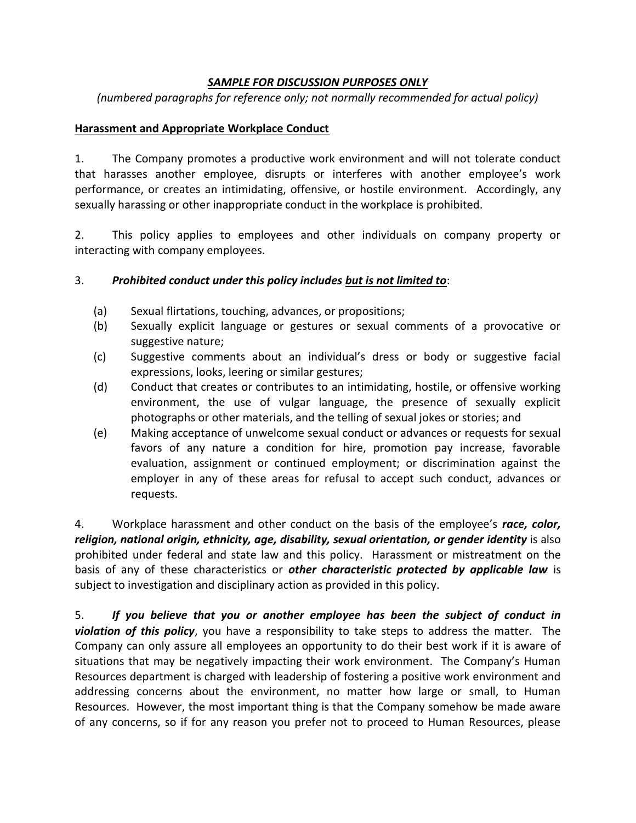## *SAMPLE FOR DISCUSSION PURPOSES ONLY*

*(numbered paragraphs for reference only; not normally recommended for actual policy)*

## **Harassment and Appropriate Workplace Conduct**

1. The Company promotes a productive work environment and will not tolerate conduct that harasses another employee, disrupts or interferes with another employee's work performance, or creates an intimidating, offensive, or hostile environment. Accordingly, any sexually harassing or other inappropriate conduct in the workplace is prohibited.

2. This policy applies to employees and other individuals on company property or interacting with company employees.

## 3. *Prohibited conduct under this policy includes but is not limited to*:

- (a) Sexual flirtations, touching, advances, or propositions;
- (b) Sexually explicit language or gestures or sexual comments of a provocative or suggestive nature;
- (c) Suggestive comments about an individual's dress or body or suggestive facial expressions, looks, leering or similar gestures;
- (d) Conduct that creates or contributes to an intimidating, hostile, or offensive working environment, the use of vulgar language, the presence of sexually explicit photographs or other materials, and the telling of sexual jokes or stories; and
- (e) Making acceptance of unwelcome sexual conduct or advances or requests for sexual favors of any nature a condition for hire, promotion pay increase, favorable evaluation, assignment or continued employment; or discrimination against the employer in any of these areas for refusal to accept such conduct, advances or requests.

4. Workplace harassment and other conduct on the basis of the employee's *race, color, religion, national origin, ethnicity, age, disability, sexual orientation, or gender identity* is also prohibited under federal and state law and this policy. Harassment or mistreatment on the basis of any of these characteristics or *other characteristic protected by applicable law* is subject to investigation and disciplinary action as provided in this policy.

5. *If you believe that you or another employee has been the subject of conduct in violation of this policy*, you have a responsibility to take steps to address the matter. The Company can only assure all employees an opportunity to do their best work if it is aware of situations that may be negatively impacting their work environment. The Company's Human Resources department is charged with leadership of fostering a positive work environment and addressing concerns about the environment, no matter how large or small, to Human Resources. However, the most important thing is that the Company somehow be made aware of any concerns, so if for any reason you prefer not to proceed to Human Resources, please